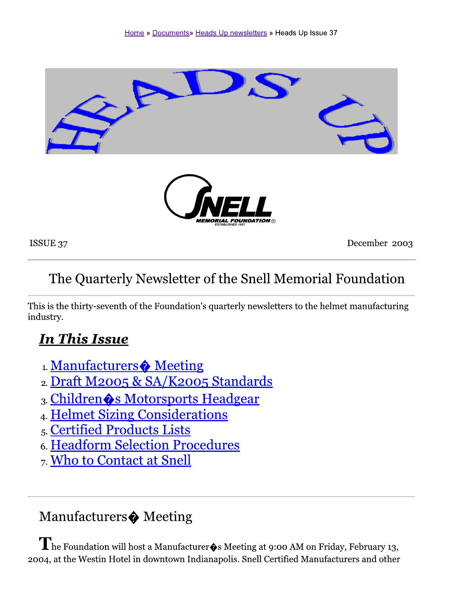

ISSUE 37

December 2003

## The Quarterly Newsletter of the Snell Memorial Foundation

This is the thirty-seventh of the Foundation's quarterly newsletters to the helmet manufacturing industry.

## **In This Issue**

- 1. Manufacturers Meeting
- 2. Draft M2005 & SA/K2005 Standards
- 3. Children & Motorsports Headgear
- 4. Helmet Sizing Considerations
- 5. Certified Products Lists
- 6. Headform Selection Procedures
- 7. Who to Contact at Snell

## Manufacturers $\spadesuit$  Meeting

 $\mathbf{I}$  he Foundation will host a Manufacturer $\mathbf{\hat{\phi}}$ s Meeting at 9:00 AM on Friday, February 13, 2004, at the Westin Hotel in downtown Indianapolis. Snell Certified Manufacturers and other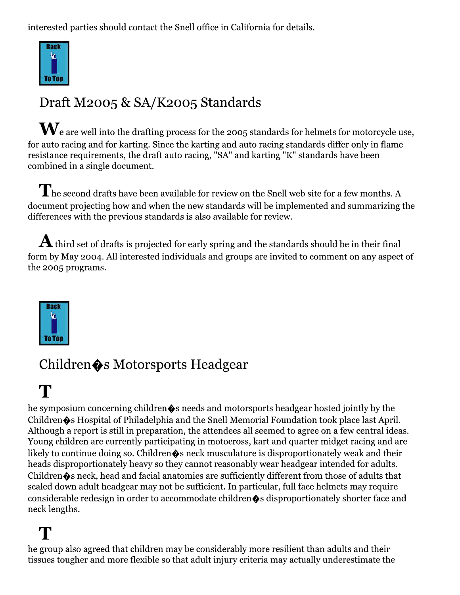interested parties should contact the Snell office in California for details.



## Draft M2005 & SA/K2005 Standards

 $\mathbf{W}_{\text{e}}$  are well into the drafting process for the 2005 standards for helmets for motorcycle use, for auto racing and for karting. Since the karting and auto racing standards differ only in flame resistance requirements, the draft auto racing, "SA" and karting "K" standards have been combined in a single document.

 $\mathbf{T}$  he second drafts have been available for review on the Snell web site for a few months. A document projecting how and when the new standards will be implemented and summarizing the differences with the previous standards is also available for review.

 $\bf{A}$  third set of drafts is projected for early spring and the standards should be in their final form by May 2004. All interested individuals and groups are invited to comment on any aspect of the 2005 programs.



## Children  $\bullet$ s Motorsports Headgear

## T

he symposium concerning children  $\bullet$ s needs and motorsports headgear hosted jointly by the Children  $\clubsuit$ s Hospital of Philadelphia and the Snell Memorial Foundation took place last April. Although a report is still in preparation, the attendees all seemed to agree on a few central ideas. Young children are currently participating in motocross, kart and quarter midget racing and are likely to continue doing so. Children $\hat{\bullet}$ s neck musculature is disproportionately weak and their heads disproportionately heavy so they cannot reasonably wear headgear intended for adults. Children  $\clubsuit$ s neck, head and facial anatomies are sufficiently different from those of adults that scaled down adult headgear may not be sufficient. In particular, full face helmets may require considerable redesign in order to accommodate children  $\bullet$ s disproportionately shorter face and neck lengths.

## T

he group also agreed that children may be considerably more resilient than adults and their tissues tougher and more flexible so that adult injury criteria may actually underestimate the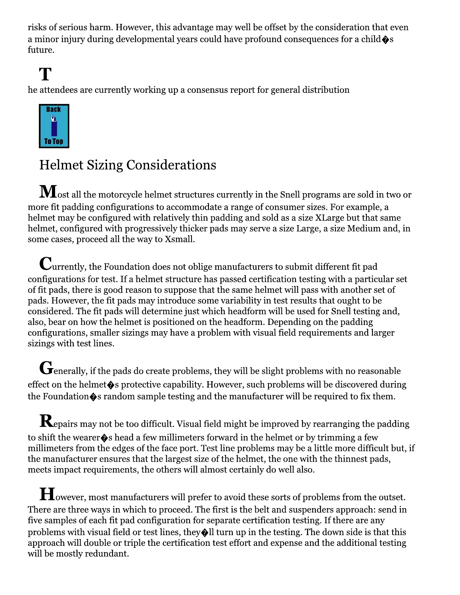risks of serious harm. However, this advantage may well be offset by the consideration that even a minor injury during developmental vears could have profound consequences for a child  $\hat{\bullet}$ s future.

## T

he attendees are currently working up a consensus report for general distribution



## **Helmet Sizing Considerations**

 $\mathbf M$ ost all the motorcycle helmet structures currently in the Snell programs are sold in two or more fit padding configurations to accommodate a range of consumer sizes. For example, a helmet may be configured with relatively thin padding and sold as a size XLarge but that same helmet, configured with progressively thicker pads may serve a size Large, a size Medium and, in some cases, proceed all the way to Xsmall.

 ${\mathbf C}$ urrently, the Foundation does not oblige manufacturers to submit different fit pad configurations for test. If a helmet structure has passed certification testing with a particular set of fit pads, there is good reason to suppose that the same helmet will pass with another set of pads. However, the fit pads may introduce some variability in test results that ought to be considered. The fit pads will determine just which headform will be used for Snell testing and, also, bear on how the helmet is positioned on the headform. Depending on the padding configurations, smaller sizings may have a problem with visual field requirements and larger sizings with test lines.

 $\mathbf G$  enerally, if the pads do create problems, they will be slight problems with no reasonable effect on the helmet  $\hat{\mathbf{\bullet}}$  s protective capability. However, such problems will be discovered during the Foundation  $\hat{\mathbf{\bullet}}$  s random sample testing and the manufacturer will be required to fix them.

 $\mathbf K$ epairs may not be too difficult. Visual field might be improved by rearranging the padding to shift the wearer  $\diamond$  s head a few millimeters forward in the helmet or by trimming a few millimeters from the edges of the face port. Test line problems may be a little more difficult but, if the manufacturer ensures that the largest size of the helmet, the one with the thinnest pads, meets impact requirements, the others will almost certainly do well also.

However, most manufacturers will prefer to avoid these sorts of problems from the outset. There are three ways in which to proceed. The first is the belt and suspenders approach: send in five samples of each fit pad configuration for separate certification testing. If there are any problems with visual field or test lines, they  $\bigcirc$  ll turn up in the testing. The down side is that this approach will double or triple the certification test effort and expense and the additional testing will be mostly redundant.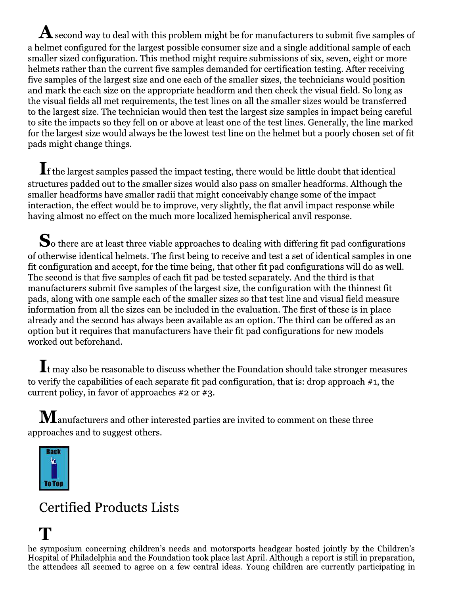${\bf A}$  second way to deal with this problem might be for manufacturers to submit five samples of a helmet configured for the largest possible consumer size and a single additional sample of each smaller sized configuration. This method might require submissions of six, seven, eight or more helmets rather than the current five samples demanded for certification testing. After receiving five samples of the largest size and one each of the smaller sizes, the technicians would position and mark the each size on the appropriate headform and then check the visual field. So long as the visual fields all met requirements, the test lines on all the smaller sizes would be transferred to the largest size. The technician would then test the largest size samples in impact being careful to site the impacts so they fell on or above at least one of the test lines. Generally, the line marked for the largest size would always be the lowest test line on the helmet but a poorly chosen set of fit pads might change things.

 $\blacksquare$  f the largest samples passed the impact testing, there would be little doubt that identical structures padded out to the smaller sizes would also pass on smaller headforms. Although the smaller headforms have smaller radii that might conceivably change some of the impact interaction, the effect would be to improve, very slightly, the flat anvil impact response while having almost no effect on the much more localized hemispherical anvil response.

 $\mathbf S_{\rm o}$  there are at least three viable approaches to dealing with differing fit pad configurations of otherwise identical helmets. The first being to receive and test a set of identical samples in one fit configuration and accept, for the time being, that other fit pad configurations will do as well. The second is that five samples of each fit pad be tested separately. And the third is that manufacturers submit five samples of the largest size, the configuration with the thinnest fit pads, along with one sample each of the smaller sizes so that test line and visual field measure information from all the sizes can be included in the evaluation. The first of these is in place already and the second has always been available as an option. The third can be offered as an option but it requires that manufacturers have their fit pad configurations for new models worked out beforehand.

 $\mathop{\mathbf{I}\vphantom{L}}\nolimits$  t may also be reasonable to discuss whether the Foundation should take stronger measures to verify the capabilities of each separate fit pad configuration, that is: drop approach  $#1$ , the current policy, in favor of approaches  $\#2$  or  $\#3$ .

 $\bf{M}$  anufacturers and other interested parties are invited to comment on these three approaches and to suggest others.



## **Certified Products Lists**

he symposium concerning children's needs and motorsports headgear hosted jointly by the Children's Hospital of Philadelphia and the Foundation took place last April. Although a report is still in preparation, the attendees all seemed to agree on a few central ideas. Young children are currently participating in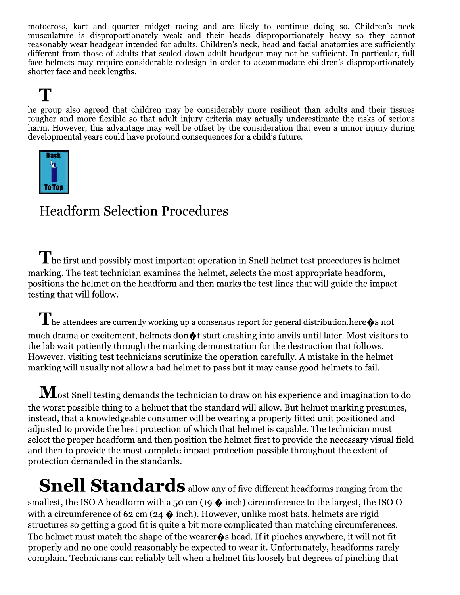motocross, kart and quarter midget racing and are likely to continue doing so. Children's neck musculature is disproportionately weak and their heads disproportionately heavy so they cannot reasonably wear headgear intended for adults. Children's neck, head and facial anatomies are sufficiently different from those of adults that scaled down adult headgear may not be sufficient. In particular, full face helmets may require considerable redesign in order to accommodate children's disproportionately shorter face and neck lengths.

## T

he group also agreed that children may be considerably more resilient than adults and their tissues tougher and more flexible so that adult injury criteria may actually underestimate the risks of serious harm. However, this advantage may well be offset by the consideration that even a minor injury during developmental years could have profound consequences for a child's future.



## **Headform Selection Procedures**

 $\mathbf{I}$  he first and possibly most important operation in Snell helmet test procedures is helmet marking. The test technician examines the helmet, selects the most appropriate headform, positions the helmet on the headform and then marks the test lines that will guide the impact testing that will follow.

 $\prod$  he attendees are currently working up a consensus report for general distribution. here  $\hat{\blacklozenge}$  s not much drama or excitement, helmets don  $\bigcirc$ t start crashing into anvils until later. Most visitors to the lab wait patiently through the marking demonstration for the destruction that follows. However, visiting test technicians scrutinize the operation carefully. A mistake in the helmet marking will usually not allow a bad helmet to pass but it may cause good helmets to fail.

 $\bf M$ ost Snell testing demands the technician to draw on his experience and imagination to do the worst possible thing to a helmet that the standard will allow. But helmet marking presumes, instead, that a knowledgeable consumer will be wearing a properly fitted unit positioned and adjusted to provide the best protection of which that helmet is capable. The technician must select the proper headform and then position the helmet first to provide the necessary visual field and then to provide the most complete impact protection possible throughout the extent of protection demanded in the standards.

**Snell Standards** allow any of five different headforms ranging from the smallest, the ISO A headform with a 50 cm (19  $\bullet$  inch) circumference to the largest, the ISO O with a circumference of 62 cm (24  $\bullet$  inch). However, unlike most hats, helmets are rigid structures so getting a good fit is quite a bit more complicated than matching circumferences. The helmet must match the shape of the wearer  $\bullet$  s head. If it pinches anywhere, it will not fit properly and no one could reasonably be expected to wear it. Unfortunately, headforms rarely complain. Technicians can reliably tell when a helmet fits loosely but degrees of pinching that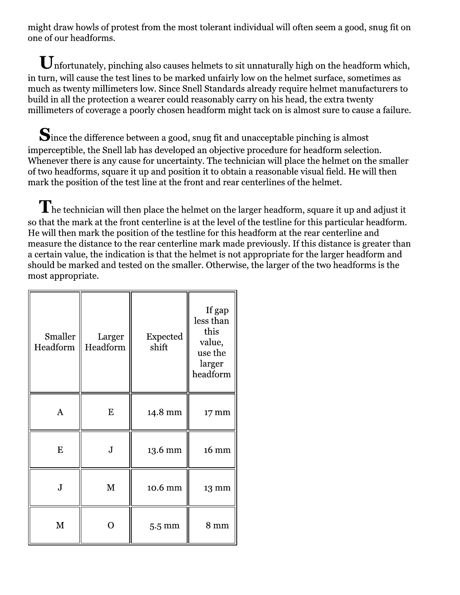might draw howls of protest from the most tolerant individual will often seem a good, snug fit on one of our headforms.

 $\mathbf U$ nfortunately, pinching also causes helmets to sit unnaturally high on the headform which, in turn, will cause the test lines to be marked unfairly low on the helmet surface, sometimes as much as twenty millimeters low. Since Snell Standards already require helmet manufacturers to build in all the protection a wearer could reasonably carry on his head, the extra twenty millimeters of coverage a poorly chosen headform might tack on is almost sure to cause a failure.

Since the difference between a good, snug fit and unacceptable pinching is almost imperceptible, the Snell lab has developed an objective procedure for headform selection. Whenever there is any cause for uncertainty. The technician will place the helmet on the smaller of two headforms, square it up and position it to obtain a reasonable visual field. He will then mark the position of the test line at the front and rear centerlines of the helmet.

 $\mathbf{T}$  he technician will then place the helmet on the larger headform, square it up and adjust it so that the mark at the front centerline is at the level of the testline for this particular headform. He will then mark the position of the testline for this headform at the rear centerline and measure the distance to the rear centerline mark made previously. If this distance is greater than a certain value, the indication is that the helmet is not appropriate for the larger headform and should be marked and tested on the smaller. Otherwise, the larger of the two headforms is the most appropriate.

| Smaller<br>Headform | Larger<br>Headform | <b>Expected</b><br>shift | If gap<br>less than<br>this<br>value,<br>use the<br>larger<br>headform |
|---------------------|--------------------|--------------------------|------------------------------------------------------------------------|
| A                   | E                  | 14.8 mm                  | 17 mm                                                                  |
| E                   | $\bf J$            | 13.6 mm                  | 16 mm                                                                  |
| ${\bf J}$           | M                  | 10.6 mm                  | 13 mm                                                                  |
| M                   |                    | $5.5 \text{ mm}$         | $8 \text{ mm}$                                                         |